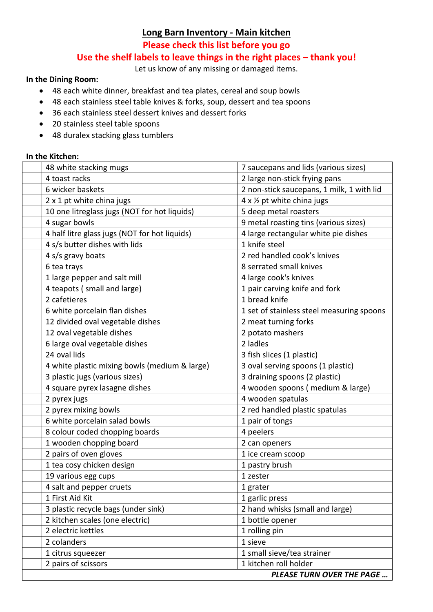## **Long Barn Inventory - Main kitchen**

**Please check this list before you go** 

## **Use the shelf labels to leave things in the right places – thank you!**

Let us know of any missing or damaged items.

## **In the Dining Room:**

- 48 each white dinner, breakfast and tea plates, cereal and soup bowls
- 48 each stainless steel table knives & forks, soup, dessert and tea spoons
- 36 each stainless steel dessert knives and dessert forks
- 20 stainless steel table spoons
- 48 duralex stacking glass tumblers

## **In the Kitchen:**

| 48 white stacking mugs                        | 7 saucepans and lids (various sizes)       |
|-----------------------------------------------|--------------------------------------------|
| 4 toast racks                                 | 2 large non-stick frying pans              |
| 6 wicker baskets                              | 2 non-stick saucepans, 1 milk, 1 with lid  |
| 2 x 1 pt white china jugs                     | $4 \times \frac{1}{2}$ pt white china jugs |
| 10 one litreglass jugs (NOT for hot liquids)  | 5 deep metal roasters                      |
| 4 sugar bowls                                 | 9 metal roasting tins (various sizes)      |
| 4 half litre glass jugs (NOT for hot liquids) | 4 large rectangular white pie dishes       |
| 4 s/s butter dishes with lids                 | 1 knife steel                              |
| 4 s/s gravy boats                             | 2 red handled cook's knives                |
| 6 tea trays                                   | 8 serrated small knives                    |
| 1 large pepper and salt mill                  | 4 large cook's knives                      |
| 4 teapots (small and large)                   | 1 pair carving knife and fork              |
| 2 cafetieres                                  | 1 bread knife                              |
| 6 white porcelain flan dishes                 | 1 set of stainless steel measuring spoons  |
| 12 divided oval vegetable dishes              | 2 meat turning forks                       |
| 12 oval vegetable dishes                      | 2 potato mashers                           |
| 6 large oval vegetable dishes                 | 2 ladles                                   |
| 24 oval lids                                  | 3 fish slices (1 plastic)                  |
| 4 white plastic mixing bowls (medium & large) | 3 oval serving spoons (1 plastic)          |
| 3 plastic jugs (various sizes)                | 3 draining spoons (2 plastic)              |
| 4 square pyrex lasagne dishes                 | 4 wooden spoons (medium & large)           |
| 2 pyrex jugs                                  | 4 wooden spatulas                          |
| 2 pyrex mixing bowls                          | 2 red handled plastic spatulas             |
| 6 white porcelain salad bowls                 | 1 pair of tongs                            |
| 8 colour coded chopping boards                | 4 peelers                                  |
| 1 wooden chopping board                       | 2 can openers                              |
| 2 pairs of oven gloves                        | 1 ice cream scoop                          |
| 1 tea cosy chicken design                     | 1 pastry brush                             |
| 19 various egg cups                           | 1 zester                                   |
| 4 salt and pepper cruets                      | 1 grater                                   |
| 1 First Aid Kit                               | 1 garlic press                             |
| 3 plastic recycle bags (under sink)           | 2 hand whisks (small and large)            |
| 2 kitchen scales (one electric)               | 1 bottle opener                            |
| 2 electric kettles                            | 1 rolling pin                              |
| 2 colanders                                   | 1 sieve                                    |
| 1 citrus squeezer                             | 1 small sieve/tea strainer                 |
| 2 pairs of scissors                           | 1 kitchen roll holder                      |
|                                               | <b>PLEASE TURN OVER THE PAGE</b>           |